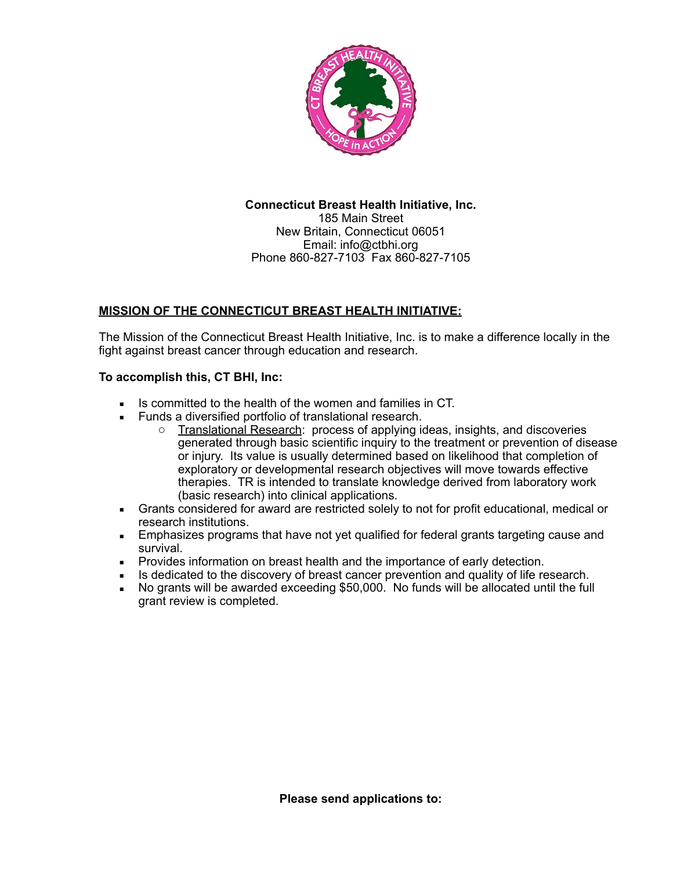

# **Connecticut Breast Health Initiative, Inc.** 185 Main Street New Britain, Connecticut 06051 Email: info@ctbhi.org Phone 860-827-7103 Fax 860-827-7105

# **MISSION OF THE CONNECTICUT BREAST HEALTH INITIATIVE:**

The Mission of the Connecticut Breast Health Initiative, Inc. is to make a difference locally in the fight against breast cancer through education and research.

# **To accomplish this, CT BHI, Inc:**

- Is committed to the health of the women and families in CT.
- **EURIOF 1** Funds a diversified portfolio of translational research.
	- $\circ$  Translational Research: process of applying ideas, insights, and discoveries generated through basic scientific inquiry to the treatment or prevention of disease or injury. Its value is usually determined based on likelihood that completion of exploratory or developmental research objectives will move towards effective therapies. TR is intended to translate knowledge derived from laboratory work (basic research) into clinical applications.
- **•** Grants considered for award are restricted solely to not for profit educational, medical or research institutions.
- **Emphasizes programs that have not yet qualified for federal grants targeting cause and** survival.
- **Provides information on breast health and the importance of early detection.**
- **EXECT** Is dedicated to the discovery of breast cancer prevention and quality of life research.
- No grants will be awarded exceeding \$50,000. No funds will be allocated until the full grant review is completed.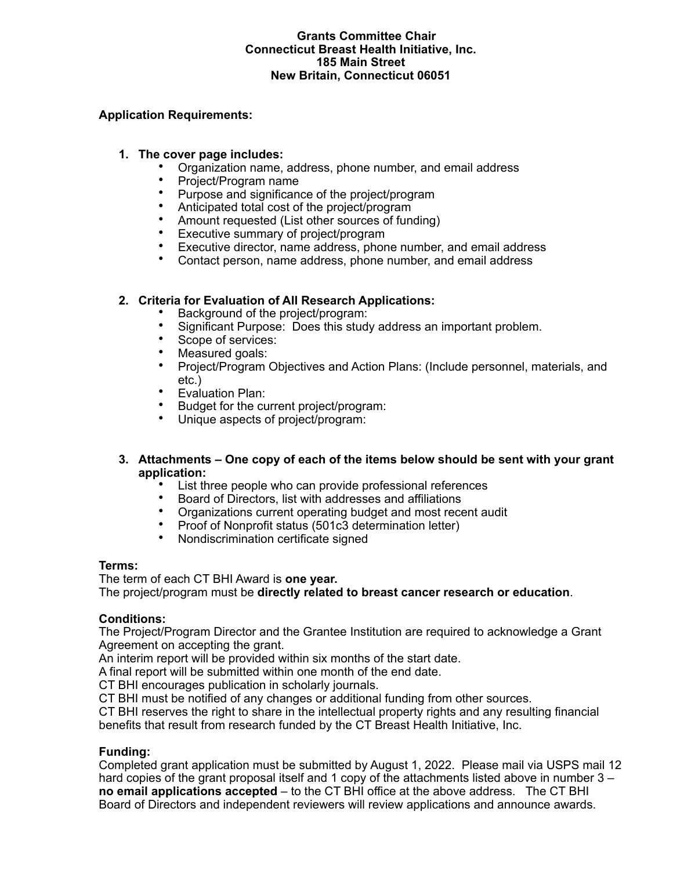#### **Grants Committee Chair Connecticut Breast Health Initiative, Inc. 185 Main Street New Britain, Connecticut 06051**

# **Application Requirements:**

#### **1. The cover page includes:**

- Organization name, address, phone number, and email address
- Project/Program name<br>• Purpose and significane
- Purpose and significance of the project/program
- Anticipated total cost of the project/program
- Amount requested (List other sources of funding)<br>• Executive summary of project/program
- Executive summary of project/program<br>• Executive director name address phore
- Executive director, name address, phone number, and email address
- Contact person, name address, phone number, and email address

## **2. Criteria for Evaluation of All Research Applications:**

- Background of the project/program:
- Significant Purpose: Does this study address an important problem.<br>• Scope of services:
- Scope of services:
- Measured goals:
- Project/Program Objectives and Action Plans: (Include personnel, materials, and etc.)
- Evaluation Plan:
- Budget for the current project/program:<br>• Unique aspects of project/program:
- Unique aspects of project/program:
- **3. Attachments One copy of each of the items below should be sent with your grant application:**
	- List three people who can provide professional references
	- Board of Directors, list with addresses and affiliations
	- Organizations current operating budget and most recent audit
	- Proof of Nonprofit status (501c3 determination letter)
	- Nondiscrimination certificate signed

#### **Terms:**

The term of each CT BHI Award is **one year.**

The project/program must be **directly related to breast cancer research or education**.

#### **Conditions:**

The Project/Program Director and the Grantee Institution are required to acknowledge a Grant Agreement on accepting the grant.

An interim report will be provided within six months of the start date.

A final report will be submitted within one month of the end date.

CT BHI encourages publication in scholarly journals.

CT BHI must be notified of any changes or additional funding from other sources.

CT BHI reserves the right to share in the intellectual property rights and any resulting financial benefits that result from research funded by the CT Breast Health Initiative, Inc.

#### **Funding:**

Completed grant application must be submitted by August 1, 2022. Please mail via USPS mail 12 hard copies of the grant proposal itself and 1 copy of the attachments listed above in number 3 – **no email applications accepted** – to the CT BHI office at the above address. The CT BHI Board of Directors and independent reviewers will review applications and announce awards.